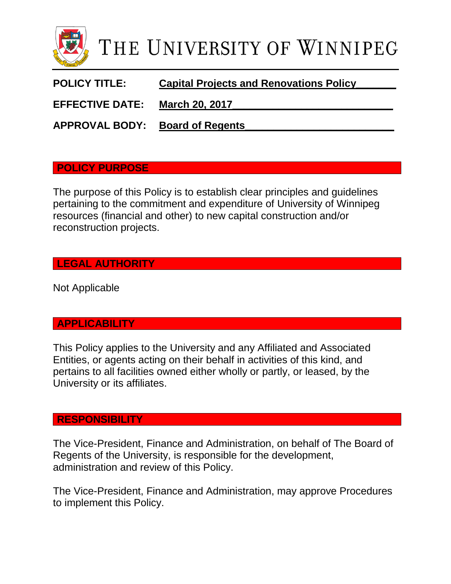

**POLICY TITLE: Capital Projects and Renovations Policy\_\_\_\_\_\_\_**

EFFECTIVE DATE: March 20, 2017

**APPROVAL BODY: Board of Regents\_\_\_\_\_\_\_\_\_\_\_\_\_\_\_\_\_\_\_\_\_\_\_\_\_\_**

#### **POLICY PURPOSE**

The purpose of this Policy is to establish clear principles and guidelines pertaining to the commitment and expenditure of University of Winnipeg resources (financial and other) to new capital construction and/or reconstruction projects.

# **LEGAL AUTHORITY**

Not Applicable

#### **APPLICABILITY**

This Policy applies to the University and any Affiliated and Associated Entities, or agents acting on their behalf in activities of this kind, and pertains to all facilities owned either wholly or partly, or leased, by the University or its affiliates.

#### **RESPONSIBILITY**

The Vice-President, Finance and Administration, on behalf of The Board of Regents of the University, is responsible for the development, administration and review of this Policy.

The Vice-President, Finance and Administration, may approve Procedures to implement this Policy.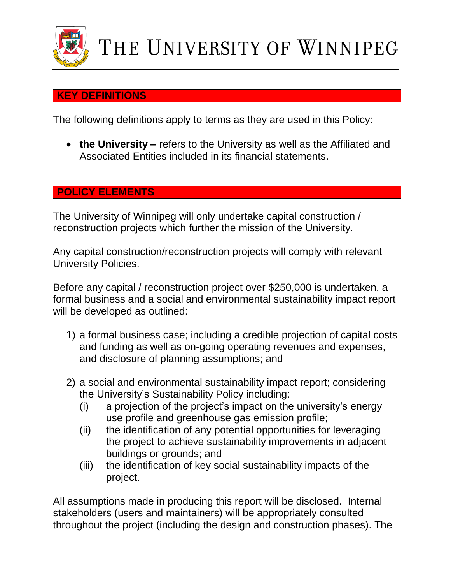

# **KEY DEFINITIONS**

The following definitions apply to terms as they are used in this Policy:

 **the University –** refers to the University as well as the Affiliated and Associated Entities included in its financial statements.

# **POLICY ELEMENTS**

The University of Winnipeg will only undertake capital construction / reconstruction projects which further the mission of the University.

Any capital construction/reconstruction projects will comply with relevant University Policies.

Before any capital / reconstruction project over \$250,000 is undertaken, a formal business and a social and environmental sustainability impact report will be developed as outlined:

- 1) a formal business case; including a credible projection of capital costs and funding as well as on-going operating revenues and expenses, and disclosure of planning assumptions; and
- 2) a social and environmental sustainability impact report; considering the University's Sustainability Policy including:
	- (i) a projection of the project's impact on the university's energy use profile and greenhouse gas emission profile;
	- (ii) the identification of any potential opportunities for leveraging the project to achieve sustainability improvements in adjacent buildings or grounds; and
	- (iii) the identification of key social sustainability impacts of the project.

All assumptions made in producing this report will be disclosed. Internal stakeholders (users and maintainers) will be appropriately consulted throughout the project (including the design and construction phases). The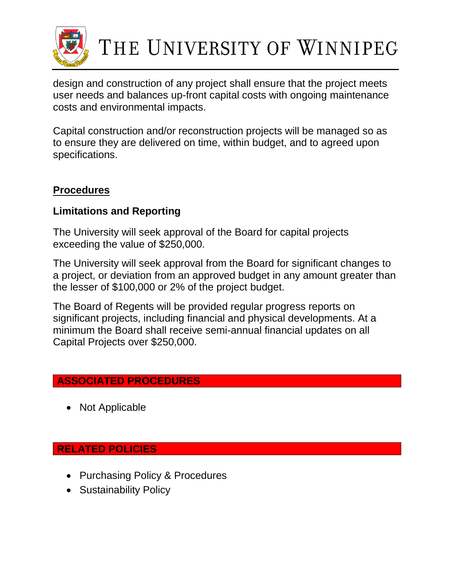

# THE UNIVERSITY OF WINNIPEG

design and construction of any project shall ensure that the project meets user needs and balances up-front capital costs with ongoing maintenance costs and environmental impacts.

Capital construction and/or reconstruction projects will be managed so as to ensure they are delivered on time, within budget, and to agreed upon specifications.

# **Procedures**

# **Limitations and Reporting**

The University will seek approval of the Board for capital projects exceeding the value of \$250,000.

The University will seek approval from the Board for significant changes to a project, or deviation from an approved budget in any amount greater than the lesser of \$100,000 or 2% of the project budget.

The Board of Regents will be provided regular progress reports on significant projects, including financial and physical developments. At a minimum the Board shall receive semi-annual financial updates on all Capital Projects over \$250,000.

# **ASSOCIATED PROCEDURES**

• Not Applicable

#### **RELATED POLICIES**

- Purchasing Policy & Procedures
- Sustainability Policy